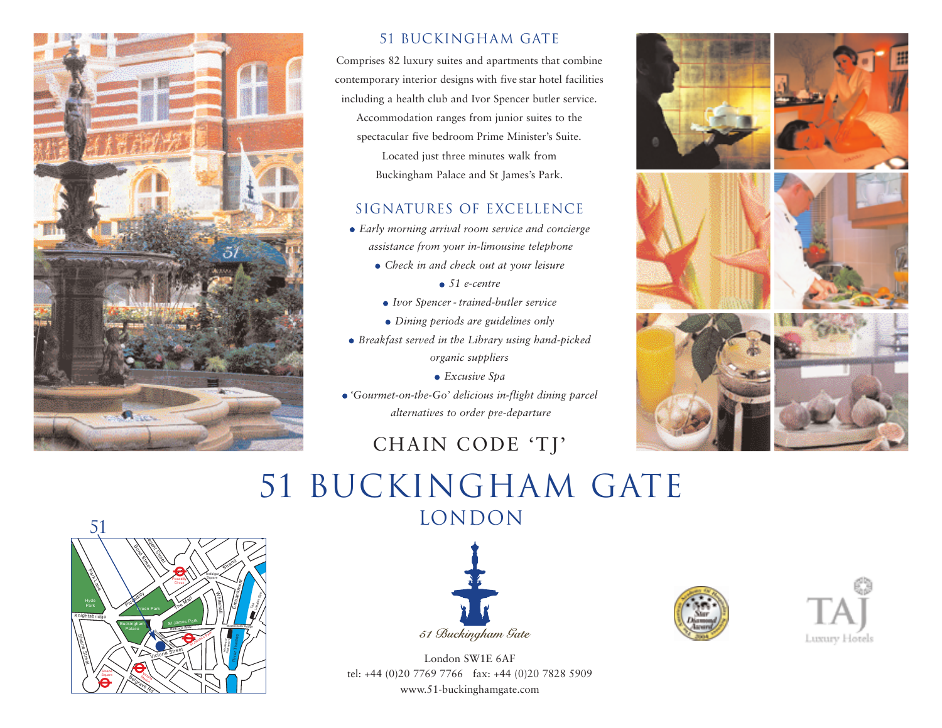

### 51 Buckingham Gate

Comprises 82 luxury suites and apartments that combine contemporary interior designs with five star hotel facilities including a health club and Ivor Spencer butler service. Accommodation ranges from junior suites to the spectacular five bedroom Prime Minister's Suite. Located just three minutes walk from Buckingham Palace and St James's Park.

#### SIGNATURES OF EXCELLENCE

- *Early morning arrival room service and concierge assistance from your in-limousine telephone* 
	- *Check in and check out at your leisure*
		- *51 e-centre*
	- *Ivor Spencer trained-butler service*
	- *Dining periods are guidelines only*
- *Breakfast served in the Library using hand-picked organic suppliers*
	- *Excusive Spa*
- *'Gourmet-on-the-Go' delicious in-flight dining parcel alternatives to order pre-departure*

## CHAIN CODE 'TJ'



## 51 Buckingham Gate **LONDON**





London SW1E 6AF tel: +44 (0)20 7769 7766 fax: +44 (0)20 7828 5909 www.51-buckinghamgate.com